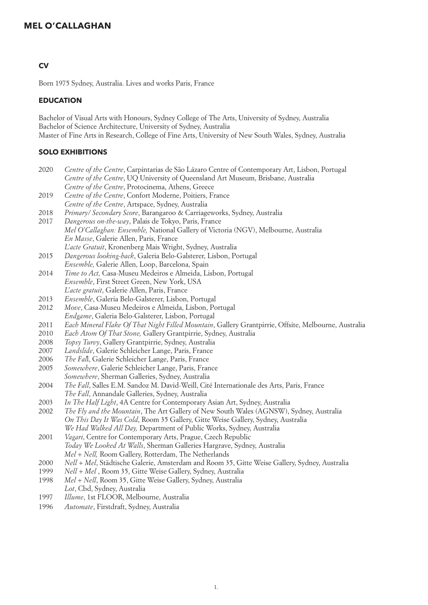## **CV**

Born 1975 Sydney, Australia. Lives and works Paris, France

### **EDUCATION**

Bachelor of Visual Arts with Honours, Sydney College of The Arts, University of Sydney, Australia Bachelor of Science Architecture, University of Sydney, Australia Master of Fine Arts in Research, College of Fine Arts, University of New South Wales, Sydney, Australia

## **SOLO EXHIBITIONS**

- 2020 *Centre of the Centre*, Carpintarias de São Lázaro Centre of Contemporary Art, Lisbon, Portugal *Centre of the Centre*, UQ University of Queensland Art Museum, Brisbane, Australia *Centre of the Centre*, Protocinema, Athens, Greece 2019 *Centre of the Centre*, Confort Moderne, Poitiers, France
- *Centre of the Centre*, Artspace, Sydney, Australia
- 2018 *Primary/ Secondary Score*, Barangaroo & Carriageworks, Sydney, Australia
- 2017 *Dangerous on-the-way*, Palais de Tokyo, Paris, France *Mel O'Callaghan: Ensemble,* National Gallery of Victoria (NGV), Melbourne, Australia *En Masse*, Galerie Allen, Paris, France *L'acte Gratuit*, Kronenberg Mais Wright, Sydney, Australia
- 2015 *Dangerous looking-back*, Galeria Belo-Galsterer, Lisbon, Portugal *Ensemble,* Galerie Allen, Loop, Barcelona, Spain
- 2014 *Time to Act,* Casa-Museu Medeiros e Almeida, Lisbon, Portugal *Ensemble*, First Street Green, New York, USA *L'acte gratuit*, Galerie Allen, Paris, France
- 2013 *Ensemble*, Galeria Belo-Galsterer, Lisbon, Portugal
- 2012 *Move*, Casa-Museu Medeiros e Almeida, Lisbon, Portugal
- *Endgame*, Galeria Belo-Galsterer, Lisbon, Portugal
- 2011 *Each Mineral Flake Of That Night Filled Mountain*, Gallery Grantpirrie, Offsite, Melbourne, Australia
- 2010 *Each Atom Of That Stone,* Gallery Grantpirrie, Sydney, Australia
- 2008 *Topsy Turvy*, Gallery Grantpirrie, Sydney, Australia
- 2007 *Landslide*, Galerie Schleicher Lange, Paris, France
- 2006 *The Fal*l, Galerie Schleicher Lange, Paris, France
- 2005 *Somewhere*, Galerie Schleicher Lange, Paris, France *Somewhere*, Sherman Galleries, Sydney, Australia
- 2004 *The Fall*, Salles E.M. Sandoz M. David-Weill, Cité Internationale des Arts, Paris, France *The Fall*, Annandale Galleries, Sydney, Australia
- 2003 *In The Half Light*, 4A Centre for Contemporary Asian Art, Sydney, Australia
- 2002 *The Fly and the Mountain*, The Art Gallery of New South Wales (AGNSW), Sydney, Australia *On This Day It Was Cold*, Room 35 Gallery, Gitte Weise Gallery, Sydney, Australia *We Had Walked All Day,* Department of Public Works, Sydney, Australia
- 2001 *Vagari*, Centre for Contemporary Arts, Prague, Czech Republic *Today We Looked At Walls*, Sherman Galleries Hargrave, Sydney, Australia *Mel + Nell,* Room Gallery, Rotterdam, The Netherlands
- 2000 *Nell + Mel*, Städtische Galerie, Amsterdam and Room 35, Gitte Weise Gallery, Sydney, Australia
- 1999 *Nell + Mel* , Room 35, Gitte Weise Gallery, Sydney, Australia
- 1998 *Mel + Nell*, Room 35, Gitte Weise Gallery, Sydney, Australia *Lot*, Cbd, Sydney, Australia
- 1997 *Illume*, 1st FLOOR, Melbourne, Australia
- 1996 *Automate*, Firstdraft, Sydney, Australia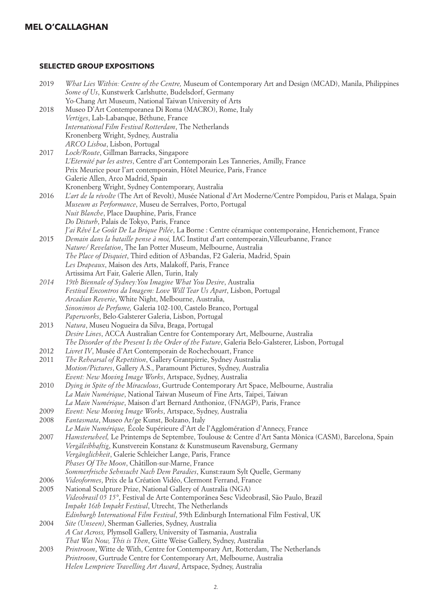# **SELECTED GROUP EXPOSITIONS**

| 2019 | What Lies Within: Centre of the Centre, Museum of Contemporary Art and Design (MCAD), Manila, Philippines     |
|------|---------------------------------------------------------------------------------------------------------------|
|      | Some of Us, Kunstwerk Carlshutte, Budelsdorf, Germany                                                         |
|      | Yo-Chang Art Museum, National Taiwan University of Arts                                                       |
| 2018 | Museo D'Art Contemporanea Di Roma (MACRO), Rome, Italy                                                        |
|      | Vertiges, Lab-Labanque, Béthune, France                                                                       |
|      | International Film Festival Rotterdam, The Netherlands                                                        |
|      | Kronenberg Wright, Sydney, Australia                                                                          |
|      | ARCO Lisboa, Lisbon, Portugal                                                                                 |
| 2017 | Lock/Route, Gillman Barracks, Singapore                                                                       |
|      | L'Eternité par les astres, Centre d'art Contemporain Les Tanneries, Amilly, France                            |
|      | Prix Meurice pour l'art contemporain, Hôtel Meurice, Paris, France                                            |
|      | Galerie Allen, Arco Madrid, Spain                                                                             |
|      | Kronenberg Wright, Sydney Contemporary, Australia                                                             |
| 2016 | L'art de la révolte (The Art of Revolt), Musée National d'Art Moderne/Centre Pompidou, Paris et Malaga, Spain |
|      |                                                                                                               |
|      | Museum as Performance, Museu de Serralves, Porto, Portugal                                                    |
|      | Nuit Blanche, Place Dauphine, Paris, France                                                                   |
|      | Do Disturb, Palais de Tokyo, Paris, France                                                                    |
|      | l'ai Rêvé Le Goût De La Brique Pilée, La Borne : Centre céramique contemporaine, Henrichemont, France         |
| 2015 | Demain dans la bataille pense à moi, IAC Institut d'art contemporain, Villeurbanne, France                    |
|      | Nature/ Revelation, The Ian Potter Museum, Melbourne, Australia                                               |
|      | The Place of Disquiet, Third edition of A3bandas, F2 Galeria, Madrid, Spain                                   |
|      | Les Drapeaux, Maison des Arts, Malakoff, Paris, France                                                        |
|      | Artissima Art Fair, Galerie Allen, Turin, Italy                                                               |
| 2014 | 19th Biennale of Sydney: You Imagine What You Desire, Australia                                               |
|      | Festival Encontros da Imagem: Love Will Tear Us Apart, Lisbon, Portugal                                       |
|      | Arcadian Reverie, White Night, Melbourne, Australia,                                                          |
|      | Sinonimos de Perfume, Galeria 102-100, Castelo Branco, Portugal                                               |
|      | Paperworks, Belo-Galsterer Galeria, Lisbon, Portugal                                                          |
| 2013 | Natura, Museu Nogueira da Silva, Braga, Portugal                                                              |
|      | Desire Lines, ACCA Australian Centre for Contemporary Art, Melbourne, Australia                               |
|      | The Disorder of the Present Is the Order of the Future, Galeria Belo-Galsterer, Lisbon, Portugal              |
| 2012 | Livret IV, Musée d'Art Contemporain de Rochechouart, France                                                   |
| 2011 | The Rehearsal of Repetition, Gallery Grantpirrie, Sydney Australia                                            |
|      | Motion/Pictures, Gallery A.S., Paramount Pictures, Sydney, Australia                                          |
|      | Event: New Moving Image Works, Artspace, Sydney, Australia                                                    |
| 2010 | Dying in Spite of the Miraculous, Gurtrude Contemporary Art Space, Melbourne, Australia                       |
|      | La Main Numérique, National Taiwan Museum of Fine Arts, Taipei, Taiwan                                        |
|      | La Main Numérique, Maison d'art Bernard Anthonioz, (FNAGP), Paris, France                                     |
| 2009 | Event: New Moving Image Works, Artspace, Sydney, Australia                                                    |
| 2008 | Fantasmata, Museo Ar/ge Kunst, Bolzano, Italy                                                                 |
|      | Le Main Numérique, École Supérieure d'Art de l'Agglomération d'Annecy, France                                 |
| 2007 | Hamsterwheel, Le Printemps de Septembre, Toulouse & Centre d'Art Santa Mònica (CASM), Barcelona, Spain        |
|      | Vergäleibhaftig, Kunstverein Konstanz & Kunstmuseum Ravensburg, Germany                                       |
|      | Vergänglichkeit, Galerie Schleicher Lange, Paris, France                                                      |
|      | Phases Of The Moon, Châtillon-sur-Marne, France                                                               |
|      | Sommerfrische Sehnsucht Nach Dem Paradies, Kunst:raum Sylt Quelle, Germany                                    |
| 2006 | Videoformes, Prix de la Création Vidéo, Clermont Ferrand, France                                              |
| 2005 | National Sculpture Prize, National Gallery of Australia (NGA)                                                 |
|      | Videobrasil 05 15°, Festival de Arte Contemporânea Sesc Videobrasil, São Paulo, Brazil                        |
|      | Impakt 16th Impakt Festival, Utrecht, The Netherlands                                                         |
|      | Edinburgh International Film Festival, 59th Edinburgh International Film Festival, UK                         |
| 2004 | Site (Unseen), Sherman Galleries, Sydney, Australia                                                           |
|      | A Cut Across, Plymsoll Gallery, University of Tasmania, Australia                                             |
|      | That Was Now, This is Then, Gitte Weise Gallery, Sydney, Australia                                            |
| 2003 | Printroom, Witte de With, Centre for Contemporary Art, Rotterdam, The Netherlands                             |
|      | Printroom, Gurtrude Centre for Contemporary Art, Melbourne, Australia                                         |
|      | Helen Lempriere Travelling Art Award, Artspace, Sydney, Australia                                             |
|      |                                                                                                               |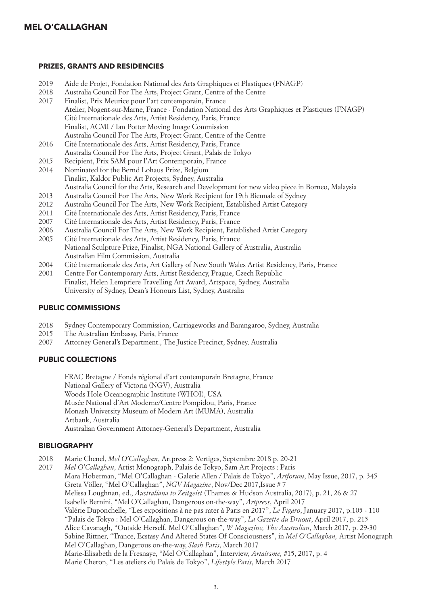#### **PRIZES, GRANTS AND RESIDENCIES**

- 2019 Aide de Projet, Fondation National des Arts Graphiques et Plastiques (FNAGP)
- 2018 Australia Council For The Arts, Project Grant, Centre of the Centre
- 2017 Finalist, Prix Meurice pour l'art contemporain, France Atelier, Nogent-sur-Marne, France - Fondation National des Arts Graphiques et Plastiques (FNAGP) Cité Internationale des Arts, Artist Residency, Paris, France Finalist, ACMI / Ian Potter Moving Image Commission Australia Council For The Arts, Project Grant, Centre of the Centre
- 2016 Cité Internationale des Arts, Artist Residency, Paris, France Australia Council For The Arts, Project Grant, Palais de Tokyo
- 2015 Recipient, Prix SAM pour l'Art Contemporain, France
- 2014 Nominated for the Bernd Lohaus Prize, Belgium Finalist, Kaldor Public Art Projects, Sydney, Australia
- Australia Council for the Arts, Research and Development for new video piece in Borneo, Malaysia
- 2013 Australia Council For The Arts, New Work Recipient for 19th Biennale of Sydney
- 2012 Australia Council For The Arts, New Work Recipient, Established Artist Category
- 2011 Cité Internationale des Arts, Artist Residency, Paris, France
- 2007 Cité Internationale des Arts, Artist Residency, Paris, France
- 2006 Australia Council For The Arts, New Work Recipient, Established Artist Category
- 2005 Cité Internationale des Arts, Artist Residency, Paris, France National Sculpture Prize, Finalist, NGA National Gallery of Australia, Australia Australian Film Commission, Australia
- 2004 Cité Internationale des Arts, Art Gallery of New South Wales Artist Residency, Paris, France
- 2001 Centre For Contemporary Arts, Artist Residency, Prague, Czech Republic Finalist, Helen Lempriere Travelling Art Award, Artspace, Sydney, Australia University of Sydney, Dean's Honours List, Sydney, Australia

#### **PUBLIC COMMISSIONS**

- 2018 Sydney Contemporary Commission, Carriageworks and Barangaroo, Sydney, Australia
- 2015 The Australian Embassy, Paris, France
- 2007 Attorney General's Department., The Justice Precinct, Sydney, Australia

## **PUBLIC COLLECTIONS**

 FRAC Bretagne / Fonds régional d'art contemporain Bretagne, France National Gallery of Victoria (NGV), Australia Woods Hole Oceanographic Institute (WHOI), USA Musée National d'Art Moderne/Centre Pompidou, Paris, France Monash University Museum of Modern Art (MUMA), Australia Artbank, Australia Australian Government Attorney-General's Department, Australia

## **BIBLIOGRAPHY**

- 2018 Marie Chenel, *Mel O'Callaghan*, Artpress 2: Vertiges, Septembre 2018 p. 20-21
- 2017 *Mel O'Callaghan*, Artist Monograph, Palais de Tokyo, Sam Art Projects : Paris Mara Hoberman, "Mel O'Callaghan - Galerie Allen / Palais de Tokyo", *Artforum*, May Issue, 2017, p. 345 Greta Völler, "Mel O'Callaghan", *NGV Magazine*, Nov/Dec 2017,Issue # 7 Melissa Loughnan, ed., *Australiana to Zeitgeist* (Thames & Hudson Australia, 2017), p. 21, 26 & 27 Isabelle Bernini, "Mel O'Callaghan, Dangerous on-the-way", *Artpress*, April 2017 Valérie Duponchelle, "Les expositions à ne pas rater à Paris en 2017", *Le Figaro*, January 2017, p.105 - 110 "Palais de Tokyo : Mel O'Callaghan, Dangerous on-the-way", *La Gazette du Druout*, April 2017, p. 215 Alice Cavanagh, "Outside Herself, Mel O'Callaghan", *W Magazine, The Australian*, March 2017, p. 29-30 Sabine Rittner, "Trance, Ecstasy And Altered States Of Consciousness", in *Mel O'Callaghan,* Artist Monograph Mel O'Callaghan, Dangerous on-the-way, *Slash Paris*, March 2017 Marie-Elisabeth de la Fresnaye, "Mel O'Callaghan", Interview, *Artaissme,* #15, 2017, p. 4 Marie Cheron, "Les ateliers du Palais de Tokyo", *Lifestyle.Paris*, March 2017